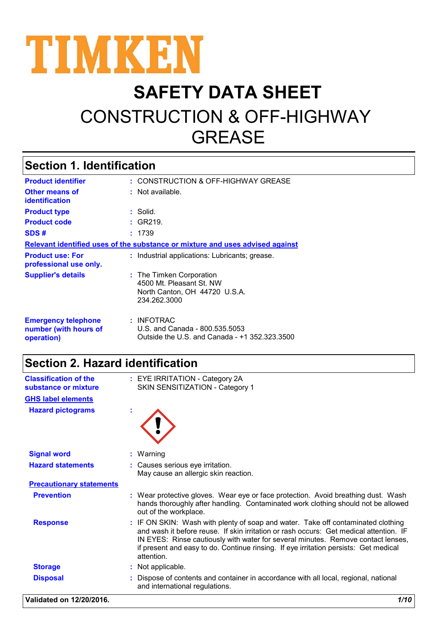

# **SAFETY DATA SHEET** CONSTRUCTION & OFF-HIGHWAY GREASE

# **Section 1. Identification**

| <b>Product identifier</b>                                         | : CONSTRUCTION & OFF-HIGHWAY GREASE                                                                   |
|-------------------------------------------------------------------|-------------------------------------------------------------------------------------------------------|
| <b>Other means of</b><br><b>identification</b>                    | $:$ Not available.                                                                                    |
| <b>Product type</b>                                               | : Solid.                                                                                              |
| <b>Product code</b>                                               | : GR219.                                                                                              |
| SDS#                                                              | : 1739                                                                                                |
|                                                                   | Relevant identified uses of the substance or mixture and uses advised against                         |
| <b>Product use: For</b><br>professional use only.                 | : Industrial applications: Lubricants; grease.                                                        |
| <b>Supplier's details</b>                                         | : The Timken Corporation<br>4500 Mt. Pleasant St. NW<br>North Canton, OH 44720 U.S.A.<br>234.262.3000 |
| <b>Emergency telephone</b><br>number (with hours of<br>operation) | : INFOTRAC<br>U.S. and Canada - 800.535.5053<br>Outside the U.S. and Canada - +1 352.323.3500         |

# **Section 2. Hazard identification**

| <b>Classification of the</b><br>substance or mixture | : EYE IRRITATION - Category 2A<br>SKIN SENSITIZATION - Category 1                                                                                                                                                                                                                                                                                                    |
|------------------------------------------------------|----------------------------------------------------------------------------------------------------------------------------------------------------------------------------------------------------------------------------------------------------------------------------------------------------------------------------------------------------------------------|
| <b>GHS label elements</b>                            |                                                                                                                                                                                                                                                                                                                                                                      |
| <b>Hazard pictograms</b>                             |                                                                                                                                                                                                                                                                                                                                                                      |
| <b>Signal word</b>                                   | $:$ Warning                                                                                                                                                                                                                                                                                                                                                          |
| <b>Hazard statements</b>                             | : Causes serious eye irritation.<br>May cause an allergic skin reaction.                                                                                                                                                                                                                                                                                             |
| <b>Precautionary statements</b>                      |                                                                                                                                                                                                                                                                                                                                                                      |
| <b>Prevention</b>                                    | : Wear protective gloves. Wear eye or face protection. Avoid breathing dust. Wash<br>hands thoroughly after handling. Contaminated work clothing should not be allowed<br>out of the workplace.                                                                                                                                                                      |
| <b>Response</b>                                      | : IF ON SKIN: Wash with plenty of soap and water. Take off contaminated clothing<br>and wash it before reuse. If skin irritation or rash occurs: Get medical attention. IF<br>IN EYES: Rinse cautiously with water for several minutes. Remove contact lenses,<br>if present and easy to do. Continue rinsing. If eye irritation persists: Get medical<br>attention. |
| <b>Storage</b>                                       | : Not applicable.                                                                                                                                                                                                                                                                                                                                                    |
| <b>Disposal</b>                                      | Dispose of contents and container in accordance with all local, regional, national<br>and international regulations.                                                                                                                                                                                                                                                 |

**Validated on 12/20/2016.** *1/10*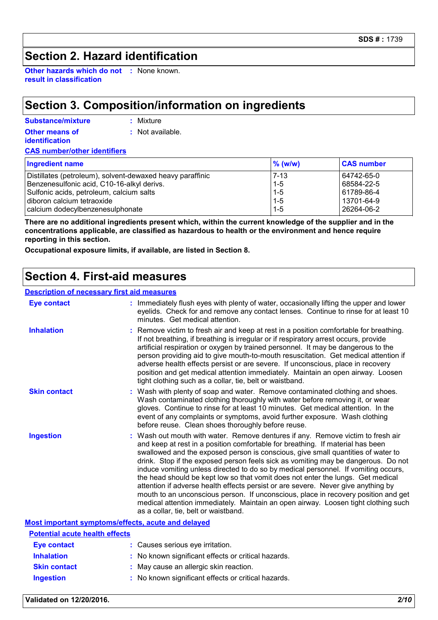# **Section 2. Hazard identification**

**Other hazards which do not :** None known. **result in classification**

# **Section 3. Composition/information on ingredients**

**:** Mixture

| <b>Other means of</b><br><b>identification</b> | : Not available. |
|------------------------------------------------|------------------|
| <b>CAS number/other identifiers</b>            |                  |
| <b>Ingredient name</b>                         |                  |

| <b>Ingredient name</b>                                    | $\%$ (w/w) | <b>CAS number</b> |
|-----------------------------------------------------------|------------|-------------------|
| Distillates (petroleum), solvent-dewaxed heavy paraffinic | $17 - 13$  | 64742-65-0        |
| Benzenesulfonic acid, C10-16-alkyl derivs.                | $1 - 5$    | 68584-22-5        |
| Sulfonic acids, petroleum, calcium salts                  | $1 - 5$    | 61789-86-4        |
| diboron calcium tetraoxide                                | $1-5$      | 13701-64-9        |
| calcium dodecylbenzenesulphonate                          | $1-5$      | 26264-06-2        |

**There are no additional ingredients present which, within the current knowledge of the supplier and in the concentrations applicable, are classified as hazardous to health or the environment and hence require reporting in this section.**

**Occupational exposure limits, if available, are listed in Section 8.**

## **Section 4. First-aid measures**

#### **Description of necessary first aid measures**

| <b>Eye contact</b>                                 | : Immediately flush eyes with plenty of water, occasionally lifting the upper and lower<br>eyelids. Check for and remove any contact lenses. Continue to rinse for at least 10<br>minutes. Get medical attention.                                                                                                                                                                                                                                                                                                                                                                                                                                                                                                                                                                                                          |
|----------------------------------------------------|----------------------------------------------------------------------------------------------------------------------------------------------------------------------------------------------------------------------------------------------------------------------------------------------------------------------------------------------------------------------------------------------------------------------------------------------------------------------------------------------------------------------------------------------------------------------------------------------------------------------------------------------------------------------------------------------------------------------------------------------------------------------------------------------------------------------------|
| <b>Inhalation</b>                                  | Remove victim to fresh air and keep at rest in a position comfortable for breathing.<br>If not breathing, if breathing is irregular or if respiratory arrest occurs, provide<br>artificial respiration or oxygen by trained personnel. It may be dangerous to the<br>person providing aid to give mouth-to-mouth resuscitation. Get medical attention if<br>adverse health effects persist or are severe. If unconscious, place in recovery<br>position and get medical attention immediately. Maintain an open airway. Loosen<br>tight clothing such as a collar, tie, belt or waistband.                                                                                                                                                                                                                                 |
| <b>Skin contact</b>                                | : Wash with plenty of soap and water. Remove contaminated clothing and shoes.<br>Wash contaminated clothing thoroughly with water before removing it, or wear<br>gloves. Continue to rinse for at least 10 minutes. Get medical attention. In the<br>event of any complaints or symptoms, avoid further exposure. Wash clothing<br>before reuse. Clean shoes thoroughly before reuse.                                                                                                                                                                                                                                                                                                                                                                                                                                      |
| <b>Ingestion</b>                                   | Wash out mouth with water. Remove dentures if any. Remove victim to fresh air<br>and keep at rest in a position comfortable for breathing. If material has been<br>swallowed and the exposed person is conscious, give small quantities of water to<br>drink. Stop if the exposed person feels sick as vomiting may be dangerous. Do not<br>induce vomiting unless directed to do so by medical personnel. If vomiting occurs,<br>the head should be kept low so that vomit does not enter the lungs. Get medical<br>attention if adverse health effects persist or are severe. Never give anything by<br>mouth to an unconscious person. If unconscious, place in recovery position and get<br>medical attention immediately. Maintain an open airway. Loosen tight clothing such<br>as a collar, tie, belt or waistband. |
| Most important symptoms/effects, acute and delayed |                                                                                                                                                                                                                                                                                                                                                                                                                                                                                                                                                                                                                                                                                                                                                                                                                            |
| <b>Potential acute health effects</b>              |                                                                                                                                                                                                                                                                                                                                                                                                                                                                                                                                                                                                                                                                                                                                                                                                                            |
| <b>Eye contact</b>                                 | : Causes serious eye irritation.                                                                                                                                                                                                                                                                                                                                                                                                                                                                                                                                                                                                                                                                                                                                                                                           |
| <b>Inhalation</b>                                  | : No known significant effects or critical hazards.                                                                                                                                                                                                                                                                                                                                                                                                                                                                                                                                                                                                                                                                                                                                                                        |

**Skin contact :** May cause an allergic skin reaction.

**Ingestion :** No known significant effects or critical hazards.

**Validated on 12/20/2016.** *2/10*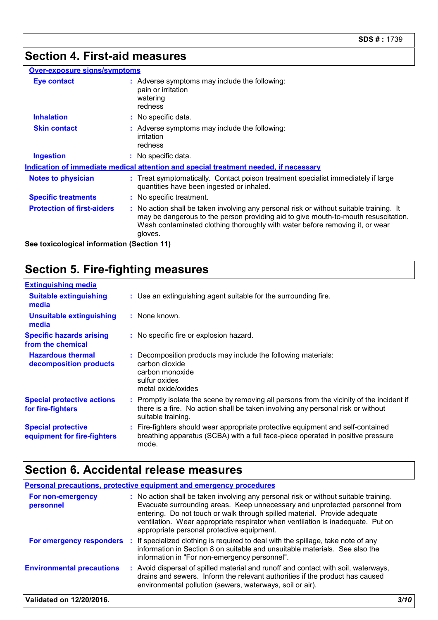## **Section 4. First-aid measures**

#### **Over-exposure signs/symptoms**

| <b>Eye contact</b>                | : Adverse symptoms may include the following:<br>pain or irritation<br>watering<br>redness                                                                                                                                                                               |
|-----------------------------------|--------------------------------------------------------------------------------------------------------------------------------------------------------------------------------------------------------------------------------------------------------------------------|
| <b>Inhalation</b>                 | : No specific data.                                                                                                                                                                                                                                                      |
| <b>Skin contact</b>               | : Adverse symptoms may include the following:<br>irritation<br>redness                                                                                                                                                                                                   |
| <b>Ingestion</b>                  | : No specific data.                                                                                                                                                                                                                                                      |
|                                   | Indication of immediate medical attention and special treatment needed, if necessary                                                                                                                                                                                     |
| <b>Notes to physician</b>         | : Treat symptomatically. Contact poison treatment specialist immediately if large<br>quantities have been ingested or inhaled.                                                                                                                                           |
| <b>Specific treatments</b>        | : No specific treatment.                                                                                                                                                                                                                                                 |
| <b>Protection of first-aiders</b> | : No action shall be taken involving any personal risk or without suitable training. It<br>may be dangerous to the person providing aid to give mouth-to-mouth resuscitation.<br>Wash contaminated clothing thoroughly with water before removing it, or wear<br>gloves. |

**See toxicological information (Section 11)**

# **Section 5. Fire-fighting measures**

| <b>Extinguishing media</b>                               |                                                                                                                                                                                                     |
|----------------------------------------------------------|-----------------------------------------------------------------------------------------------------------------------------------------------------------------------------------------------------|
| <b>Suitable extinguishing</b><br>media                   | : Use an extinguishing agent suitable for the surrounding fire.                                                                                                                                     |
| <b>Unsuitable extinguishing</b><br>media                 | : None known.                                                                                                                                                                                       |
| <b>Specific hazards arising</b><br>from the chemical     | : No specific fire or explosion hazard.                                                                                                                                                             |
| <b>Hazardous thermal</b><br>decomposition products       | : Decomposition products may include the following materials:<br>carbon dioxide<br>carbon monoxide<br>sulfur oxides<br>metal oxide/oxides                                                           |
| <b>Special protective actions</b><br>for fire-fighters   | : Promptly isolate the scene by removing all persons from the vicinity of the incident if<br>there is a fire. No action shall be taken involving any personal risk or without<br>suitable training. |
| <b>Special protective</b><br>equipment for fire-fighters | : Fire-fighters should wear appropriate protective equipment and self-contained<br>breathing apparatus (SCBA) with a full face-piece operated in positive pressure<br>mode.                         |

# **Section 6. Accidental release measures**

|                                  |     | <b>Personal precautions, protective equipment and emergency procedures</b>                                                                                                                                                                                                                                                                                                        |      |
|----------------------------------|-----|-----------------------------------------------------------------------------------------------------------------------------------------------------------------------------------------------------------------------------------------------------------------------------------------------------------------------------------------------------------------------------------|------|
| For non-emergency<br>personnel   |     | : No action shall be taken involving any personal risk or without suitable training.<br>Evacuate surrounding areas. Keep unnecessary and unprotected personnel from<br>entering. Do not touch or walk through spilled material. Provide adequate<br>ventilation. Wear appropriate respirator when ventilation is inadequate. Put on<br>appropriate personal protective equipment. |      |
| For emergency responders         | -11 | If specialized clothing is required to deal with the spillage, take note of any<br>information in Section 8 on suitable and unsuitable materials. See also the<br>information in "For non-emergency personnel".                                                                                                                                                                   |      |
| <b>Environmental precautions</b> |     | : Avoid dispersal of spilled material and runoff and contact with soil, waterways,<br>drains and sewers. Inform the relevant authorities if the product has caused<br>environmental pollution (sewers, waterways, soil or air).                                                                                                                                                   |      |
| Validated on 12/20/2016.         |     |                                                                                                                                                                                                                                                                                                                                                                                   | 3/10 |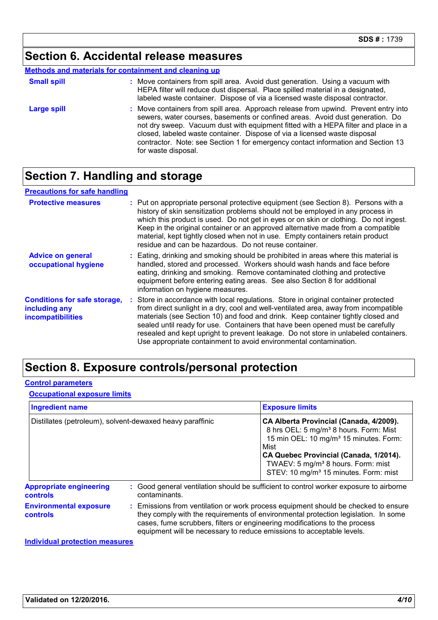## **Section 6. Accidental release measures**

#### **Methods and materials for containment and cleaning up**

| <b>Small spill</b> | : Move containers from spill area. Avoid dust generation. Using a vacuum with<br>HEPA filter will reduce dust dispersal. Place spilled material in a designated,<br>labeled waste container. Dispose of via a licensed waste disposal contractor.                                                                                                                                                                                                  |
|--------------------|----------------------------------------------------------------------------------------------------------------------------------------------------------------------------------------------------------------------------------------------------------------------------------------------------------------------------------------------------------------------------------------------------------------------------------------------------|
| Large spill        | : Move containers from spill area. Approach release from upwind. Prevent entry into<br>sewers, water courses, basements or confined areas. Avoid dust generation. Do<br>not dry sweep. Vacuum dust with equipment fitted with a HEPA filter and place in a<br>closed, labeled waste container. Dispose of via a licensed waste disposal<br>contractor. Note: see Section 1 for emergency contact information and Section 13<br>for waste disposal. |

# **Section 7. Handling and storage**

| <b>Precautions for safe handling</b>                                      |                                                                                                                                                                                                                                                                                                                                                                                                                                                                                                               |
|---------------------------------------------------------------------------|---------------------------------------------------------------------------------------------------------------------------------------------------------------------------------------------------------------------------------------------------------------------------------------------------------------------------------------------------------------------------------------------------------------------------------------------------------------------------------------------------------------|
| <b>Protective measures</b>                                                | : Put on appropriate personal protective equipment (see Section 8). Persons with a<br>history of skin sensitization problems should not be employed in any process in<br>which this product is used. Do not get in eyes or on skin or clothing. Do not ingest.<br>Keep in the original container or an approved alternative made from a compatible<br>material, kept tightly closed when not in use. Empty containers retain product<br>residue and can be hazardous. Do not reuse container.                 |
| <b>Advice on general</b><br>occupational hygiene                          | : Eating, drinking and smoking should be prohibited in areas where this material is<br>handled, stored and processed. Workers should wash hands and face before<br>eating, drinking and smoking. Remove contaminated clothing and protective<br>equipment before entering eating areas. See also Section 8 for additional<br>information on hygiene measures.                                                                                                                                                 |
| <b>Conditions for safe storage,</b><br>including any<br>incompatibilities | : Store in accordance with local regulations. Store in original container protected<br>from direct sunlight in a dry, cool and well-ventilated area, away from incompatible<br>materials (see Section 10) and food and drink. Keep container tightly closed and<br>sealed until ready for use. Containers that have been opened must be carefully<br>resealed and kept upright to prevent leakage. Do not store in unlabeled containers.<br>Use appropriate containment to avoid environmental contamination. |

# **Section 8. Exposure controls/personal protection**

#### **Control parameters**

#### **Occupational exposure limits**

| <b>Ingredient name</b>                                    |                                                                                                                                                                                                                                                                                                                                 | <b>Exposure limits</b>                                                                                                                                                                                                                                                                                       |  |
|-----------------------------------------------------------|---------------------------------------------------------------------------------------------------------------------------------------------------------------------------------------------------------------------------------------------------------------------------------------------------------------------------------|--------------------------------------------------------------------------------------------------------------------------------------------------------------------------------------------------------------------------------------------------------------------------------------------------------------|--|
| Distillates (petroleum), solvent-dewaxed heavy paraffinic |                                                                                                                                                                                                                                                                                                                                 | CA Alberta Provincial (Canada, 4/2009).<br>8 hrs OEL: 5 mg/m <sup>3</sup> 8 hours. Form: Mist<br>15 min OEL: 10 mg/m <sup>3</sup> 15 minutes. Form:<br>Mist<br>CA Quebec Provincial (Canada, 1/2014).<br>TWAEV: 5 mg/m <sup>3</sup> 8 hours. Form: mist<br>STEV: 10 mg/m <sup>3</sup> 15 minutes. Form: mist |  |
| <b>Appropriate engineering</b><br><b>controls</b>         | contaminants.                                                                                                                                                                                                                                                                                                                   | : Good general ventilation should be sufficient to control worker exposure to airborne                                                                                                                                                                                                                       |  |
| <b>Environmental exposure</b><br><b>controls</b>          | : Emissions from ventilation or work process equipment should be checked to ensure<br>they comply with the requirements of environmental protection legislation. In some<br>cases, fume scrubbers, filters or engineering modifications to the process<br>equipment will be necessary to reduce emissions to acceptable levels. |                                                                                                                                                                                                                                                                                                              |  |

**Individual protection measures**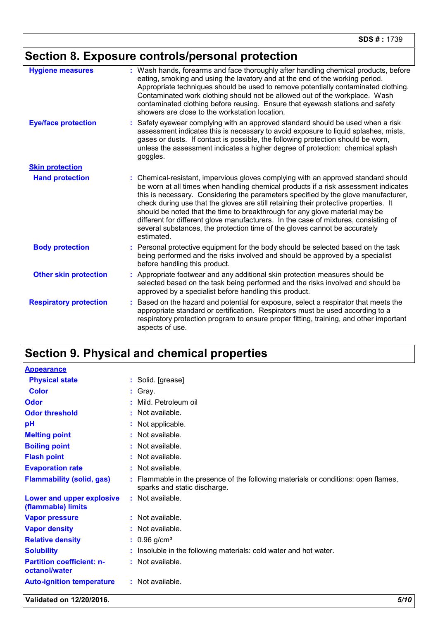# **Section 8. Exposure controls/personal protection**

| <b>Hygiene measures</b>       | : Wash hands, forearms and face thoroughly after handling chemical products, before<br>eating, smoking and using the lavatory and at the end of the working period.<br>Appropriate techniques should be used to remove potentially contaminated clothing.<br>Contaminated work clothing should not be allowed out of the workplace. Wash<br>contaminated clothing before reusing. Ensure that eyewash stations and safety<br>showers are close to the workstation location.                                                                                                                                               |
|-------------------------------|---------------------------------------------------------------------------------------------------------------------------------------------------------------------------------------------------------------------------------------------------------------------------------------------------------------------------------------------------------------------------------------------------------------------------------------------------------------------------------------------------------------------------------------------------------------------------------------------------------------------------|
| <b>Eye/face protection</b>    | Safety eyewear complying with an approved standard should be used when a risk<br>assessment indicates this is necessary to avoid exposure to liquid splashes, mists,<br>gases or dusts. If contact is possible, the following protection should be worn,<br>unless the assessment indicates a higher degree of protection: chemical splash<br>goggles.                                                                                                                                                                                                                                                                    |
| <b>Skin protection</b>        |                                                                                                                                                                                                                                                                                                                                                                                                                                                                                                                                                                                                                           |
| <b>Hand protection</b>        | : Chemical-resistant, impervious gloves complying with an approved standard should<br>be worn at all times when handling chemical products if a risk assessment indicates<br>this is necessary. Considering the parameters specified by the glove manufacturer,<br>check during use that the gloves are still retaining their protective properties. It<br>should be noted that the time to breakthrough for any glove material may be<br>different for different glove manufacturers. In the case of mixtures, consisting of<br>several substances, the protection time of the gloves cannot be accurately<br>estimated. |
| <b>Body protection</b>        | Personal protective equipment for the body should be selected based on the task<br>being performed and the risks involved and should be approved by a specialist<br>before handling this product.                                                                                                                                                                                                                                                                                                                                                                                                                         |
| <b>Other skin protection</b>  | Appropriate footwear and any additional skin protection measures should be<br>selected based on the task being performed and the risks involved and should be<br>approved by a specialist before handling this product.                                                                                                                                                                                                                                                                                                                                                                                                   |
| <b>Respiratory protection</b> | Based on the hazard and potential for exposure, select a respirator that meets the<br>appropriate standard or certification. Respirators must be used according to a<br>respiratory protection program to ensure proper fitting, training, and other important<br>aspects of use.                                                                                                                                                                                                                                                                                                                                         |

# **Section 9. Physical and chemical properties**

| <b>Appearance</b>                                 |                                                                                                                    |
|---------------------------------------------------|--------------------------------------------------------------------------------------------------------------------|
| <b>Physical state</b>                             | : Solid. [grease]                                                                                                  |
| <b>Color</b>                                      | : Gray.                                                                                                            |
| Odor                                              | Mild. Petroleum oil                                                                                                |
| <b>Odor threshold</b>                             | : Not available.                                                                                                   |
| рH                                                | : Not applicable.                                                                                                  |
| <b>Melting point</b>                              | : Not available.                                                                                                   |
| <b>Boiling point</b>                              | : Not available.                                                                                                   |
| <b>Flash point</b>                                | : Not available.                                                                                                   |
| <b>Evaporation rate</b>                           | : Not available.                                                                                                   |
| <b>Flammability (solid, gas)</b>                  | : Flammable in the presence of the following materials or conditions: open flames,<br>sparks and static discharge. |
| Lower and upper explosive<br>(flammable) limits   | : Not available.                                                                                                   |
| <b>Vapor pressure</b>                             | : Not available.                                                                                                   |
| <b>Vapor density</b>                              | : Not available.                                                                                                   |
| <b>Relative density</b>                           | $: 0.96$ g/cm <sup>3</sup>                                                                                         |
| <b>Solubility</b>                                 | : Insoluble in the following materials: cold water and hot water.                                                  |
| <b>Partition coefficient: n-</b><br>octanol/water | : Not available.                                                                                                   |
| <b>Auto-ignition temperature</b>                  | : Not available.                                                                                                   |

**Validated on 12/20/2016.** *5/10*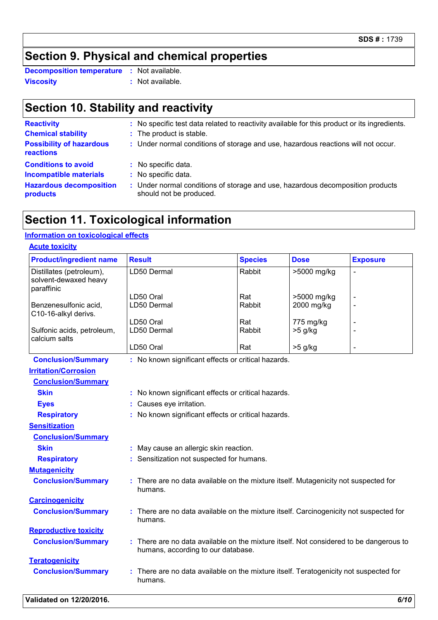# **Section 9. Physical and chemical properties**

**Viscosity :** Not available. **Decomposition temperature :** Not available.

# **Section 10. Stability and reactivity**

| <b>Reactivity</b><br><b>Chemical stability</b><br><b>Possibility of hazardous</b><br>reactions | : No specific test data related to reactivity available for this product or its ingredients.<br>: The product is stable.<br>: Under normal conditions of storage and use, hazardous reactions will not occur. |
|------------------------------------------------------------------------------------------------|---------------------------------------------------------------------------------------------------------------------------------------------------------------------------------------------------------------|
| <b>Conditions to avoid</b>                                                                     | : No specific data.                                                                                                                                                                                           |
| <b>Incompatible materials</b>                                                                  | : No specific data.                                                                                                                                                                                           |
| <b>Hazardous decomposition</b>                                                                 | : Under normal conditions of storage and use, hazardous decomposition products                                                                                                                                |
| products                                                                                       | should not be produced.                                                                                                                                                                                       |

# **Section 11. Toxicological information**

#### **Information on toxicological effects**

| <b>Product/ingredient name</b>                                  | <b>Result</b>                                                                                                              | <b>Species</b> | <b>Dose</b> | <b>Exposure</b>          |  |  |
|-----------------------------------------------------------------|----------------------------------------------------------------------------------------------------------------------------|----------------|-------------|--------------------------|--|--|
| Distillates (petroleum),<br>solvent-dewaxed heavy<br>paraffinic | LD50 Dermal                                                                                                                | Rabbit         | >5000 mg/kg | $\overline{a}$           |  |  |
|                                                                 | LD50 Oral                                                                                                                  | Rat            | >5000 mg/kg | $\overline{\phantom{a}}$ |  |  |
| Benzenesulfonic acid,<br>C10-16-alkyl derivs.                   | LD50 Dermal                                                                                                                | Rabbit         | 2000 mg/kg  | $\overline{\phantom{a}}$ |  |  |
|                                                                 | LD50 Oral                                                                                                                  | Rat            | 775 mg/kg   |                          |  |  |
| Sulfonic acids, petroleum,<br>calcium salts                     | LD50 Dermal                                                                                                                | Rabbit         | $>5$ g/kg   | L,                       |  |  |
|                                                                 | LD50 Oral                                                                                                                  | Rat            | $>5$ g/kg   | L,                       |  |  |
| <b>Conclusion/Summary</b>                                       | : No known significant effects or critical hazards.                                                                        |                |             |                          |  |  |
| <b>Irritation/Corrosion</b>                                     |                                                                                                                            |                |             |                          |  |  |
| <b>Conclusion/Summary</b>                                       |                                                                                                                            |                |             |                          |  |  |
| <b>Skin</b>                                                     | : No known significant effects or critical hazards.                                                                        |                |             |                          |  |  |
| <b>Eyes</b>                                                     | : Causes eye irritation.                                                                                                   |                |             |                          |  |  |
| <b>Respiratory</b>                                              | : No known significant effects or critical hazards.                                                                        |                |             |                          |  |  |
| <b>Sensitization</b>                                            |                                                                                                                            |                |             |                          |  |  |
| <b>Conclusion/Summary</b>                                       |                                                                                                                            |                |             |                          |  |  |
| <b>Skin</b>                                                     | May cause an allergic skin reaction.                                                                                       |                |             |                          |  |  |
| <b>Respiratory</b>                                              | : Sensitization not suspected for humans.                                                                                  |                |             |                          |  |  |
| <b>Mutagenicity</b>                                             |                                                                                                                            |                |             |                          |  |  |
| <b>Conclusion/Summary</b>                                       | : There are no data available on the mixture itself. Mutagenicity not suspected for<br>humans.                             |                |             |                          |  |  |
| <b>Carcinogenicity</b>                                          |                                                                                                                            |                |             |                          |  |  |
| <b>Conclusion/Summary</b>                                       | There are no data available on the mixture itself. Carcinogenicity not suspected for<br>humans.                            |                |             |                          |  |  |
| <b>Reproductive toxicity</b>                                    |                                                                                                                            |                |             |                          |  |  |
| <b>Conclusion/Summary</b>                                       | There are no data available on the mixture itself. Not considered to be dangerous to<br>humans, according to our database. |                |             |                          |  |  |
| <b>Teratogenicity</b>                                           |                                                                                                                            |                |             |                          |  |  |
| <b>Conclusion/Summary</b>                                       | : There are no data available on the mixture itself. Teratogenicity not suspected for<br>humans.                           |                |             |                          |  |  |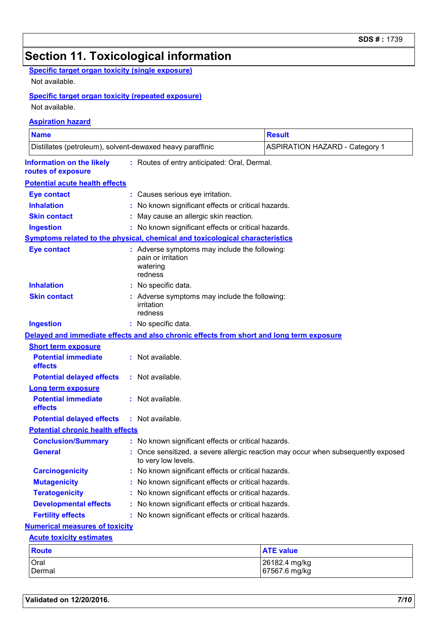# **Section 11. Toxicological information**

#### **Specific target organ toxicity (single exposure)**

Not available.

#### **Specific target organ toxicity (repeated exposure)**

Not available.

#### **Conclusion/Summary :** No known significant effects or critical hazards. **Information on the likely routes of exposure Inhalation :** No known significant effects or critical hazards. **Ingestion :** No known significant effects or critical hazards. **Skin contact :** May cause an allergic skin reaction. **Eye contact :** Causes serious eye irritation. Once sensitized, a severe allergic reaction may occur when subsequently exposed to very low levels. **General : Carcinogenicity** : No known significant effects or critical hazards. **Mutagenicity :** No known significant effects or critical hazards. **Teratogenicity :** No known significant effects or critical hazards. **Developmental effects :** No known significant effects or critical hazards. **Fertility effects :** No known significant effects or critical hazards. **Symptoms related to the physical, chemical and toxicological characteristics Skin contact Ingestion Inhalation :** No specific data. No specific data. **:** Adverse symptoms may include the following: **:** irritation redness **Eye contact :** Adverse symptoms may include the following: pain or irritation watering redness **Potential chronic health effects Delayed and immediate effects and also chronic effects from short and long term exposure Numerical measures of toxicity Acute toxicity estimates Aspiration hazard Name Result** Distillates (petroleum), solvent-dewaxed heavy paraffinic ASPIRATION HAZARD - Category 1 **:** Routes of entry anticipated: Oral, Dermal. **Potential acute health effects Potential immediate effects :** Not available. **Short term exposure Potential delayed effects :** Not available. **Potential immediate effects :** Not available. **Long term exposure Potential delayed effects :** Not available.

#### Oral 26182.4 mg/kg Dermal 67567.6 mg/kg **Route ATE value**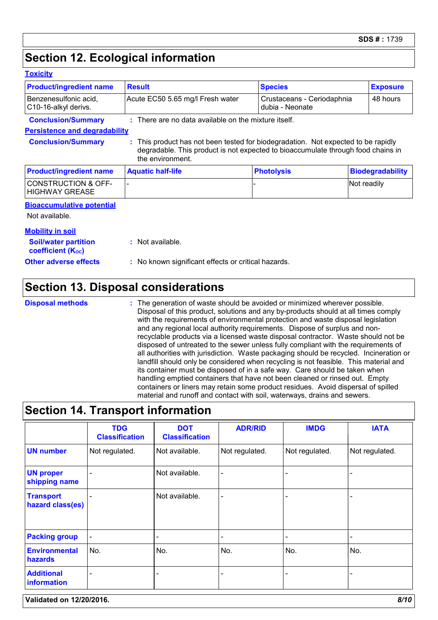# **Section 12. Ecological information**

| <b>Product/ingredient name</b>                          | <b>Result</b>                                                                                        | <b>Species</b>                                | <b>Exposure</b>         |
|---------------------------------------------------------|------------------------------------------------------------------------------------------------------|-----------------------------------------------|-------------------------|
| Benzenesulfonic acid,<br>C10-16-alkyl derivs.           | Acute EC50 5.65 mg/l Fresh water                                                                     | Crustaceans - Ceriodaphnia<br>dubia - Neonate | 48 hours                |
| <b>Conclusion/Summary</b>                               | $\therefore$ There are no data available on the mixture itself.                                      |                                               |                         |
| <b>Persistence and degradability</b>                    |                                                                                                      |                                               |                         |
| <b>Conclusion/Summary</b>                               | This product has not been tested for biodegradation. Not expected to be rapidly                      |                                               |                         |
|                                                         | degradable. This product is not expected to bioaccumulate through food chains in<br>the environment. |                                               |                         |
| <b>Product/ingredient name</b>                          | <b>Aquatic half-life</b>                                                                             | <b>Photolysis</b>                             | <b>Biodegradability</b> |
| <b>CONSTRUCTION &amp; OFF-</b><br><b>HIGHWAY GREASE</b> |                                                                                                      |                                               | Not readily             |
| <b>Bioaccumulative potential</b>                        |                                                                                                      |                                               |                         |

| <b>Soil/water partition</b><br>coefficient (K <sub>oc</sub> ) | : Not available.                                    |
|---------------------------------------------------------------|-----------------------------------------------------|
| <b>Other adverse effects</b>                                  | : No known significant effects or critical hazards. |

# **Section 13. Disposal considerations**

**Disposal methods :**

The generation of waste should be avoided or minimized wherever possible. Disposal of this product, solutions and any by-products should at all times comply with the requirements of environmental protection and waste disposal legislation and any regional local authority requirements. Dispose of surplus and nonrecyclable products via a licensed waste disposal contractor. Waste should not be disposed of untreated to the sewer unless fully compliant with the requirements of all authorities with jurisdiction. Waste packaging should be recycled. Incineration or landfill should only be considered when recycling is not feasible. This material and its container must be disposed of in a safe way. Care should be taken when handling emptied containers that have not been cleaned or rinsed out. Empty containers or liners may retain some product residues. Avoid dispersal of spilled material and runoff and contact with soil, waterways, drains and sewers.

# **Section 14. Transport information**

|                                      | <b>TDG</b><br><b>Classification</b> | <b>DOT</b><br><b>Classification</b> | <b>ADR/RID</b> | <b>IMDG</b>    | <b>IATA</b>    |
|--------------------------------------|-------------------------------------|-------------------------------------|----------------|----------------|----------------|
| <b>UN number</b>                     | Not regulated.                      | Not available.                      | Not regulated. | Not regulated. | Not regulated. |
| <b>UN proper</b><br>shipping name    | $\overline{\phantom{a}}$            | Not available.                      |                |                |                |
| <b>Transport</b><br>hazard class(es) |                                     | Not available.                      |                |                |                |
| <b>Packing group</b>                 | $\blacksquare$                      |                                     |                |                |                |
| <b>Environmental</b><br>hazards      | No.                                 | No.                                 | No.            | No.            | No.            |
| <b>Additional</b><br>information     | $\blacksquare$                      |                                     |                |                |                |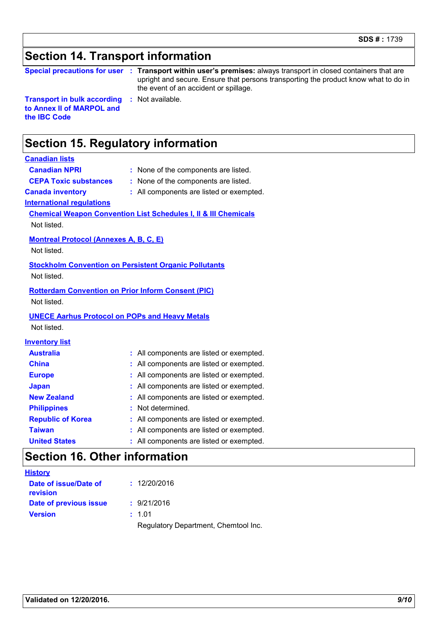# **Section 14. Transport information**

| <b>Special precautions for user</b> |  |
|-------------------------------------|--|
|                                     |  |

**Special precautions for user Transport within user's premises:** always transport in closed containers that are **:** upright and secure. Ensure that persons transporting the product know what to do in the event of an accident or spillage.

**Transport in bulk according to Annex II of MARPOL and the IBC Code**

# **Section 15. Regulatory information**

#### **Canadian lists**

**Canadian NPRI :** None of the components are listed. **CEPA Toxic substances :** None of the components are listed.

**Canada inventory :** All components are listed or exempted.

**:** Not available.

**International regulations**

#### **Chemical Weapon Convention List Schedules I, II & III Chemicals**

Not listed.

#### **Montreal Protocol (Annexes A, B, C, E)**

Not listed.

#### **Stockholm Convention on Persistent Organic Pollutants**

Not listed.

### **Rotterdam Convention on Prior Inform Consent (PIC)**

Not listed.

#### **UNECE Aarhus Protocol on POPs and Heavy Metals**

Not listed.

#### **Inventory list**

| <b>Australia</b>         | : All components are listed or exempted. |
|--------------------------|------------------------------------------|
| <b>China</b>             | : All components are listed or exempted. |
| <b>Europe</b>            | : All components are listed or exempted. |
| <b>Japan</b>             | : All components are listed or exempted. |
| <b>New Zealand</b>       | : All components are listed or exempted. |
| <b>Philippines</b>       | : Not determined.                        |
| <b>Republic of Korea</b> | : All components are listed or exempted. |
| <b>Taiwan</b>            | : All components are listed or exempted. |
| <b>United States</b>     | : All components are listed or exempted. |

# **Section 16. Other information**

| <b>History</b>                    |                                      |
|-----------------------------------|--------------------------------------|
| Date of issue/Date of<br>revision | : 12/20/2016                         |
| Date of previous issue            | : 9/21/2016                          |
| <b>Version</b>                    | : 1.01                               |
|                                   | Regulatory Department, Chemtool Inc. |